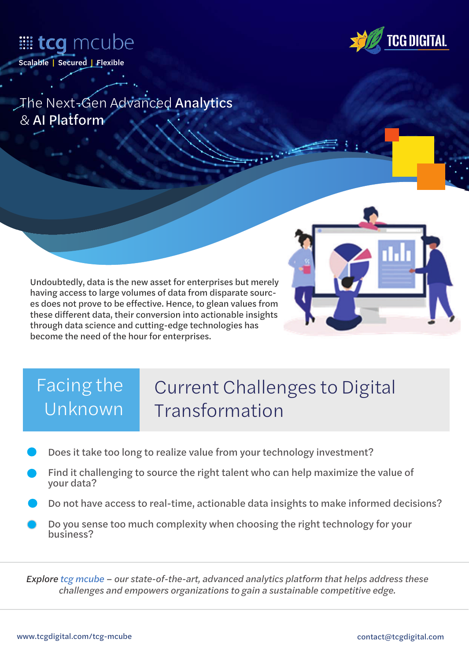



*The Next-Gen Advanced* Analytics *&* AI Platform

Undoubtedly, data is the new asset for enterprises but merely having access to large volumes of data from disparate sources does not prove to be effective. Hence, to glean values from these different data, their conversion into actionable insights through data science and cutting-edge technologies has become the need of the hour for enterprises.

# *Facing the Unknown*

# *Current Challenges to Digital Transformation*

- Does it take too long to realize value from your technology investment?
- Find it challenging to source the right talent who can help maximize the value of your data?
- Do not have access to real-time, actionable data insights to make informed decisions?
- Do you sense too much complexity when choosing the right technology for your business?

*Explore tcg mcube – our state-of-the-art, advanced analytics platform that helps address these challenges and empowers organizations to gain a sustainable competitive edge.*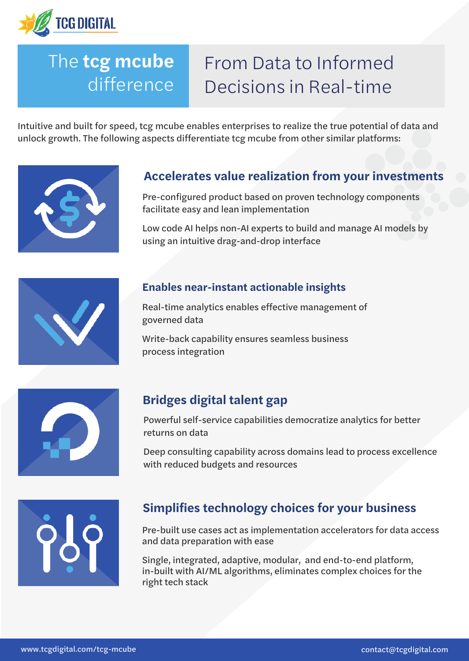

# *The next-gen analytics platform for accelerated difference Decision The* **tcg mcube**

# *From Data to Informed Decisions in Real-time*

unlock growth. The following aspects differentiate tcg mcube from other similar platforms: which is a Intuitive and built for speed, tcg mcube enables enterprises to realize the true potential of data and



#### the science and the state science and cutting-edge technologies is the new of the new order of the new order of **Accelerates value realization from your investments**

Pre-configured product based on proven technology components facilitate easy and lean implementation

Low code AI helps non-AI experts to build and manage AI models by using an intuitive drag-and-drop interface

### **Enables near-instant actionable insights**

Real-time analytics enables effective management of governed data

Write-back capability ensures seamless business process integration



# **Bridges digital talent gap**

Powerful self-service capabilities democratize analytics for better returns on data

Deep consulting capability across domains lead to process excellence with reduced budgets and resources



# **Simplifies technology choices for your business**

Pre-built use cases act as implementation accelerators for data access and data preparation with ease

Single, integrated, adaptive, modular, and end-to-end platform, in-built with AI/ML algorithms, eliminates complex choices for the right tech stack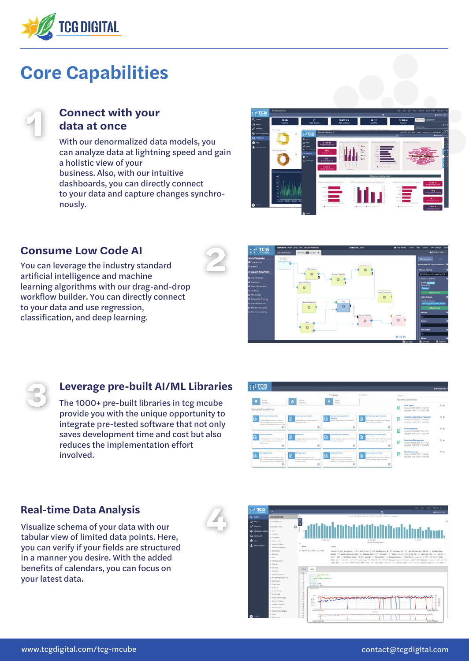

# **Core Capabilities**



#### **Connect with your data at once**

With our denormalized data models, you can analyze data at lightning speed and gain a holistic view of your business. Also, with our intuitive dashboards, you can directly connect to your data and capture changes synchronously.



### **Consume Low Code AI**

You can leverage the industry standard artificial intelligence and machine learning algorithms with our drag-and-drop workflow builder. You can directly connect to your data and use regression, classification, and deep learning.





### **Leverage pre-built AI/ML Libraries**

The 1000+ pre-built libraries in tcg mcube provide you with the unique opportunity to integrate pre-tested software that not only saves development time and cost but also reduces the implementation effort involved.



### **Real-time Data Analysis**

Visualize schema of your data with our tabular view of limited data points. Here, you can verify if your fields are structured in a manner you desire. With the added benefits of calendars, you can focus on your latest data.



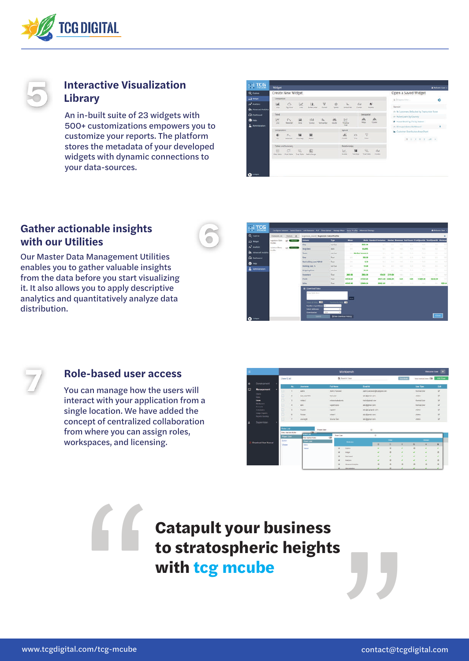

### **Interactive Visualization Library**

An in-built suite of 23 widgets with 500+ customizations empowers you to customize your reports. The platform stores the metadata of your developed widgets with dynamic connections to your data-sources.



## **Gather actionable insights with our Utilities**

Our Master Data Management Utilities enables you to gather valuable insights from the data before you start visualizing it. It also allows you to apply descriptive analytics and quantitatively analyze data distribution.

| Q squee                     | <b>Cutatet Litt</b>             | $D$ Ustati $D$    | inpiters (rend) Supstore pata Profile                                                               |                                |                                                   |                                          |                                                                                                |               |        |                                                                                                              |                           |                 |                  |
|-----------------------------|---------------------------------|-------------------|-----------------------------------------------------------------------------------------------------|--------------------------------|---------------------------------------------------|------------------------------------------|------------------------------------------------------------------------------------------------|---------------|--------|--------------------------------------------------------------------------------------------------------------|---------------------------|-----------------|------------------|
| all Wright                  | Supplier Data<br><b>Profile</b> | <b>PACIFICATE</b> | <b>Column</b>                                                                                       | Type                           | Mass.                                             |                                          | Moth Standard Berlation - Undlet Steward Hall Count First Quartity Third Quartity Michaus      |               |        |                                                                                                              |                           |                 |                  |
| N sniets                    | Automotive Plane                | <b>CA Channel</b> | Ota                                                                                                 | verston                        | <b>SOV</b>                                        | 2641.00                                  | <b>SH</b>                                                                                      | <b>SETT</b>   | $\sim$ | 20.5                                                                                                         | 70.5                      | $\sim$          |                  |
| <b>AL</b> Advanced Analysis | <b>trafile</b>                  |                   | <b>1849 Delte</b><br>Team                                                                           | state.<br><b>Version</b>       | <b>SIR</b>                                        | <b>BLANC</b><br><b>Starfies Seveeres</b> | <b>Sec</b>                                                                                     | $\frac{1}{2}$ | -      | <b>State</b><br><b>Suite</b>                                                                                 | <b>No.</b><br><b>Sure</b> | A               | <b>SALE</b><br>٠ |
| Cal Satissand               |                                 |                   | <b>Now</b>                                                                                          | <b>MILLER</b><br><b>Single</b> | <b>Sold</b>                                       | 106.00                                   | $\frac{1}{2} \left( \frac{1}{2} \right) \left( \frac{1}{2} \right) \left( \frac{1}{2} \right)$ | $\frac{1}{2}$ | $-1$   | 1.11                                                                                                         | <b>Section</b>            | $\sim$          | ٠                |
|                             |                                 |                   | hat halding coat PBI: D                                                                             | <b>Yuat</b>                    | <b>Auto</b>                                       | 4.13                                     | n.                                                                                             | $\cdots$      | $-11$  | 36.6                                                                                                         | <b>Section</b>            | $\sim$          | w                |
| $\mathbf{0}$ muss           |                                 |                   | Hotting Jatt, Te                                                                                    | version                        | <b>SERVICE</b>                                    | 11.00                                    | <b>Takin</b>                                                                                   | -             | $-1$   | $30 - 30$                                                                                                    | 344                       | $-1.4$          | $\sim$           |
| Administration              |                                 |                   | <b>Milgeling Cove</b>                                                                               | warakan?                       | <b>Service</b>                                    | 94.60                                    | <b>Charles</b>                                                                                 |               | $\sim$ | State.                                                                                                       | her.                      |                 | -                |
|                             |                                 |                   | Stewarton's                                                                                         | fue:                           | 3801.06                                           | 3804.03                                  | stat.                                                                                          | 2111.04       | $\sim$ | Dollar.                                                                                                      | <b>Seller</b>             | <b>SELL</b>     | $\sim$           |
|                             |                                 |                   | <b>Preside</b>                                                                                      | <b>Tour</b>                    | 49144.39                                          | 31129.80                                 | 20111-01 13182-01                                                                              |               | 9.81   | 900                                                                                                          | 17281.90                  | <b>F2539.90</b> | ٠                |
|                             |                                 |                   | <b>Sales</b>                                                                                        | Nos.                           | 45840.45                                          | 23464.54                                 | <b>ABAZCAI</b>                                                                                 | -             | -      | $\frac{1}{2} \left( \frac{1}{2} \right) \left( \frac{1}{2} \right) = \frac{1}{2} \left( \frac{1}{2} \right)$ | 14.4                      | and .           | <b>ISSUE</b>     |
|                             |                                 |                   | <b>IS Countinal Date</b>                                                                            |                                |                                                   |                                          |                                                                                                |               |        |                                                                                                              |                           |                 |                  |
| $\bullet$                   |                                 |                   | Done Beith Server<br><b>Render of pureties</b><br><b>Smit Affrage</b><br><b>Damitiant ave</b><br>TW | $\sim$                         | L<br>$\blacksquare$<br>To their Operation Import. |                                          |                                                                                                |               |        |                                                                                                              |                           | Close 1         |                  |



#### **Role-based user access**

You can manage how the users will interact with your application from a single location. We have added the concept of centralized collaboration from where you can assign roles, workspaces, and licensing.



**Example 19 Catapult your business<br>to stratospheric height:<br>with tcg mcube Catapult your business<br>to stratospheric heights<br>with tcg mcube with tcg mcube**